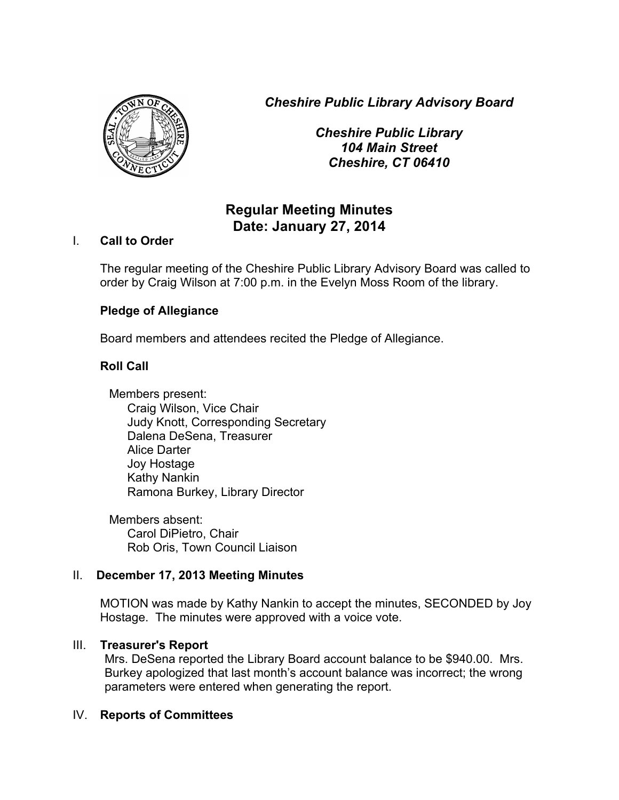*Cheshire Public Library Advisory Board*



*Cheshire Public Library 104 Main Street Cheshire, CT 06410*

# **Regular Meeting Minutes Date: January 27, 2014**

### I. **Call to Order**

The regular meeting of the Cheshire Public Library Advisory Board was called to order by Craig Wilson at 7:00 p.m. in the Evelyn Moss Room of the library.

## **Pledge of Allegiance**

Board members and attendees recited the Pledge of Allegiance.

## **Roll Call**

Members present: Craig Wilson, Vice Chair Judy Knott, Corresponding Secretary Dalena DeSena, Treasurer Alice Darter Joy Hostage Kathy Nankin Ramona Burkey, Library Director

Members absent: Carol DiPietro, Chair Rob Oris, Town Council Liaison

## II. **December 17, 2013 Meeting Minutes**

MOTION was made by Kathy Nankin to accept the minutes, SECONDED by Joy Hostage. The minutes were approved with a voice vote.

## III. **Treasurer's Report**

Mrs. DeSena reported the Library Board account balance to be \$940.00. Mrs. Burkey apologized that last month's account balance was incorrect; the wrong parameters were entered when generating the report.

## IV. **Reports of Committees**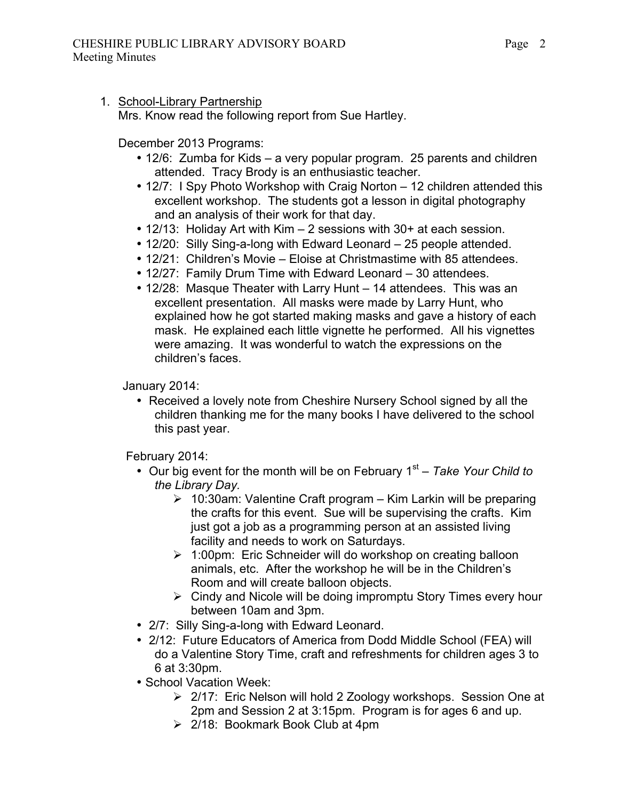### 1. School-Library Partnership

Mrs. Know read the following report from Sue Hartley.

December 2013 Programs:

- 12/6: Zumba for Kids a very popular program. 25 parents and children attended. Tracy Brody is an enthusiastic teacher.
- 12/7: I Spy Photo Workshop with Craig Norton 12 children attended this excellent workshop. The students got a lesson in digital photography and an analysis of their work for that day.
- 12/13: Holiday Art with Kim 2 sessions with 30+ at each session.
- 12/20: Silly Sing-a-long with Edward Leonard 25 people attended.
- 12/21: Children's Movie Eloise at Christmastime with 85 attendees.
- 12/27: Family Drum Time with Edward Leonard 30 attendees.
- 12/28: Masque Theater with Larry Hunt 14 attendees. This was an excellent presentation. All masks were made by Larry Hunt, who explained how he got started making masks and gave a history of each mask. He explained each little vignette he performed. All his vignettes were amazing. It was wonderful to watch the expressions on the children's faces.

### January 2014:

• Received a lovely note from Cheshire Nursery School signed by all the children thanking me for the many books I have delivered to the school this past year.

February 2014:

- Our big event for the month will be on February 1<sup>st</sup> Take Your Child to *the Library Day.*
	- $\geq 10:30$ am: Valentine Craft program Kim Larkin will be preparing the crafts for this event. Sue will be supervising the crafts. Kim just got a job as a programming person at an assisted living facility and needs to work on Saturdays.
	- $\geq 1:00$ pm: Eric Schneider will do workshop on creating balloon animals, etc. After the workshop he will be in the Children's Room and will create balloon objects.
	- $\triangleright$  Cindy and Nicole will be doing impromptu Story Times every hour between 10am and 3pm.
- 2/7: Silly Sing-a-long with Edward Leonard.
- 2/12: Future Educators of America from Dodd Middle School (FEA) will do a Valentine Story Time, craft and refreshments for children ages 3 to 6 at 3:30pm.
- School Vacation Week:
	- $\geq$  2/17: Eric Nelson will hold 2 Zoology workshops. Session One at 2pm and Session 2 at 3:15pm. Program is for ages 6 and up.
	- $\geq$  2/18: Bookmark Book Club at 4pm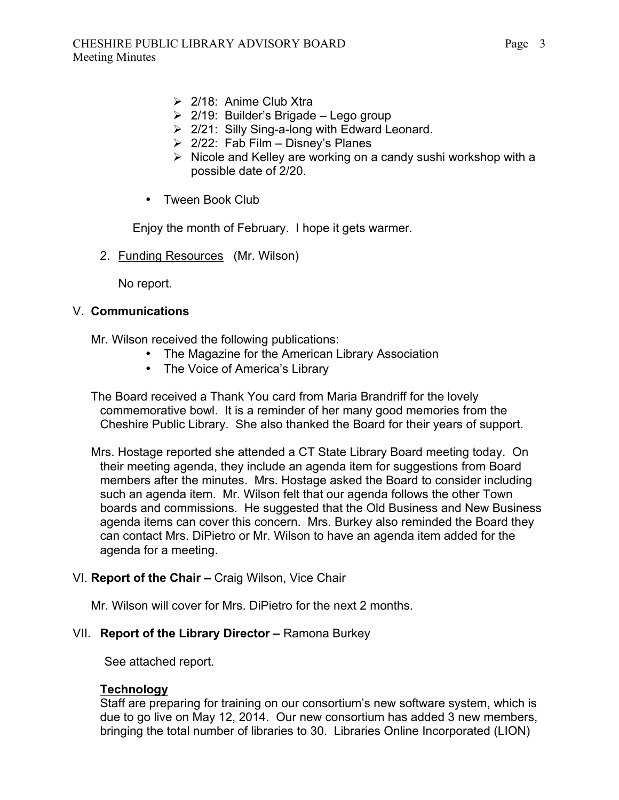- $\geq$  2/18: Anime Club Xtra
- $\geq$  2/19: Builder's Brigade Lego group
- $\geq$  2/21: Silly Sing-a-long with Edward Leonard.
- $\geq$  2/22: Fab Film Disney's Planes
- $\triangleright$  Nicole and Kelley are working on a candy sushi workshop with a possible date of 2/20.
- Tween Book Club

Enjoy the month of February. I hope it gets warmer.

2. Funding Resources (Mr. Wilson)

No report.

#### V. **Communications**

Mr. Wilson received the following publications:

- The Magazine for the American Library Association
- The Voice of America's Library

The Board received a Thank You card from Maria Brandriff for the lovely commemorative bowl. It is a reminder of her many good memories from the Cheshire Public Library. She also thanked the Board for their years of support.

Mrs. Hostage reported she attended a CT State Library Board meeting today. On their meeting agenda, they include an agenda item for suggestions from Board members after the minutes. Mrs. Hostage asked the Board to consider including such an agenda item. Mr. Wilson felt that our agenda follows the other Town boards and commissions. He suggested that the Old Business and New Business agenda items can cover this concern. Mrs. Burkey also reminded the Board they can contact Mrs. DiPietro or Mr. Wilson to have an agenda item added for the agenda for a meeting.

### VI. **Report of the Chair –** Craig Wilson, Vice Chair

Mr. Wilson will cover for Mrs. DiPietro for the next 2 months.

### VII. **Report of the Library Director –** Ramona Burkey

See attached report.

### **Technology**

Staff are preparing for training on our consortium's new software system, which is due to go live on May 12, 2014. Our new consortium has added 3 new members, bringing the total number of libraries to 30. Libraries Online Incorporated (LION)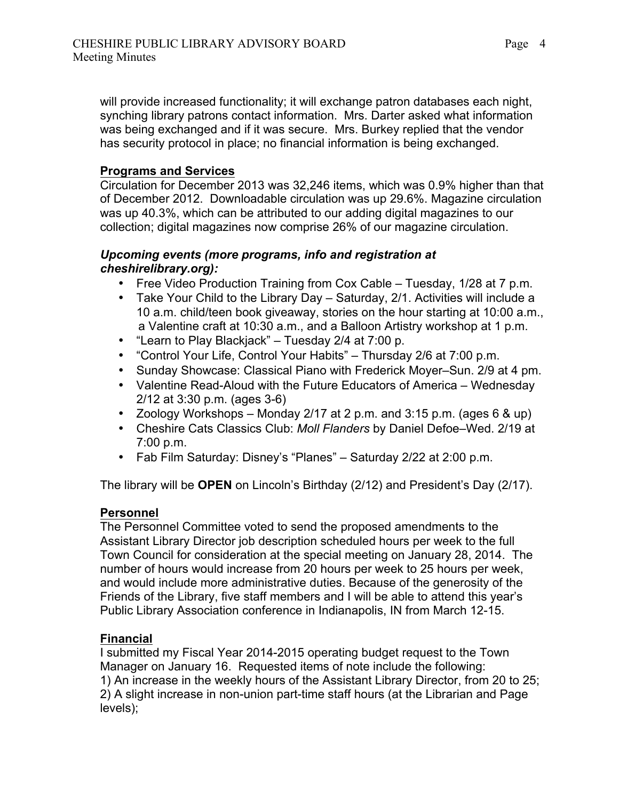will provide increased functionality; it will exchange patron databases each night, synching library patrons contact information. Mrs. Darter asked what information was being exchanged and if it was secure. Mrs. Burkey replied that the vendor has security protocol in place; no financial information is being exchanged.

## **Programs and Services**

Circulation for December 2013 was 32,246 items, which was 0.9% higher than that of December 2012. Downloadable circulation was up 29.6%. Magazine circulation was up 40.3%, which can be attributed to our adding digital magazines to our collection; digital magazines now comprise 26% of our magazine circulation.

### *Upcoming events (more programs, info and registration at cheshirelibrary.org):*

- Free Video Production Training from Cox Cable Tuesday, 1/28 at 7 p.m.
- Take Your Child to the Library Day Saturday, 2/1. Activities will include a 10 a.m. child/teen book giveaway, stories on the hour starting at 10:00 a.m., a Valentine craft at 10:30 a.m., and a Balloon Artistry workshop at 1 p.m.
- "Learn to Play Blackjack" Tuesday 2/4 at 7:00 p.
- "Control Your Life, Control Your Habits" Thursday 2/6 at 7:00 p.m.
- Sunday Showcase: Classical Piano with Frederick Moyer–Sun. 2/9 at 4 pm.
- Valentine Read-Aloud with the Future Educators of America Wednesday 2/12 at 3:30 p.m. (ages 3-6)
- Zoology Workshops Monday 2/17 at 2 p.m. and 3:15 p.m. (ages 6 & up)
- Cheshire Cats Classics Club: *Moll Flanders* by Daniel Defoe–Wed. 2/19 at 7:00 p.m.
- Fab Film Saturday: Disney's "Planes" Saturday 2/22 at 2:00 p.m.

The library will be **OPEN** on Lincoln's Birthday (2/12) and President's Day (2/17).

# **Personnel**

The Personnel Committee voted to send the proposed amendments to the Assistant Library Director job description scheduled hours per week to the full Town Council for consideration at the special meeting on January 28, 2014. The number of hours would increase from 20 hours per week to 25 hours per week, and would include more administrative duties. Because of the generosity of the Friends of the Library, five staff members and I will be able to attend this year's Public Library Association conference in Indianapolis, IN from March 12-15.

# **Financial**

I submitted my Fiscal Year 2014-2015 operating budget request to the Town Manager on January 16. Requested items of note include the following: 1) An increase in the weekly hours of the Assistant Library Director, from 20 to 25; 2) A slight increase in non-union part-time staff hours (at the Librarian and Page levels);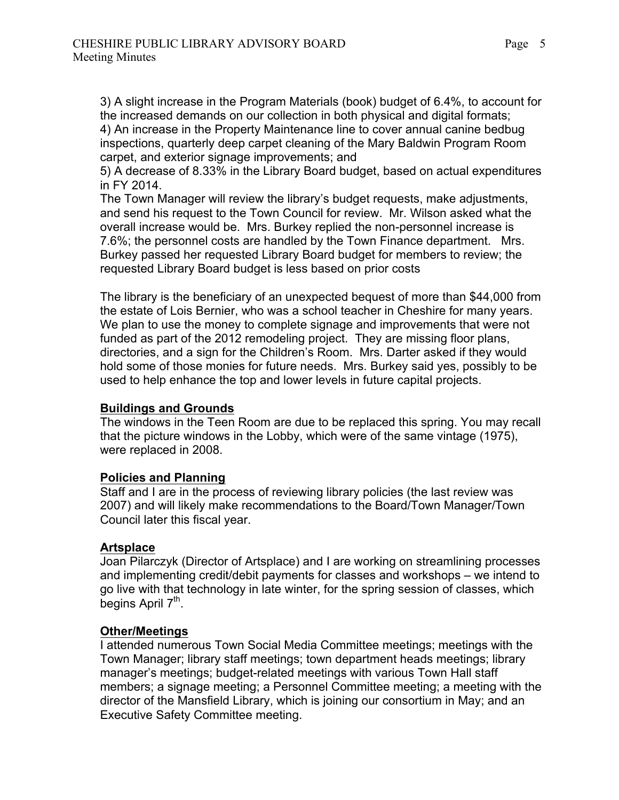3) A slight increase in the Program Materials (book) budget of 6.4%, to account for the increased demands on our collection in both physical and digital formats; 4) An increase in the Property Maintenance line to cover annual canine bedbug inspections, quarterly deep carpet cleaning of the Mary Baldwin Program Room carpet, and exterior signage improvements; and

5) A decrease of 8.33% in the Library Board budget, based on actual expenditures in FY 2014.

The Town Manager will review the library's budget requests, make adjustments, and send his request to the Town Council for review. Mr. Wilson asked what the overall increase would be. Mrs. Burkey replied the non-personnel increase is 7.6%; the personnel costs are handled by the Town Finance department. Mrs. Burkey passed her requested Library Board budget for members to review; the requested Library Board budget is less based on prior costs

The library is the beneficiary of an unexpected bequest of more than \$44,000 from the estate of Lois Bernier, who was a school teacher in Cheshire for many years. We plan to use the money to complete signage and improvements that were not funded as part of the 2012 remodeling project. They are missing floor plans, directories, and a sign for the Children's Room. Mrs. Darter asked if they would hold some of those monies for future needs. Mrs. Burkey said yes, possibly to be used to help enhance the top and lower levels in future capital projects.

### **Buildings and Grounds**

The windows in the Teen Room are due to be replaced this spring. You may recall that the picture windows in the Lobby, which were of the same vintage (1975), were replaced in 2008.

### **Policies and Planning**

Staff and I are in the process of reviewing library policies (the last review was 2007) and will likely make recommendations to the Board/Town Manager/Town Council later this fiscal year.

### **Artsplace**

Joan Pilarczyk (Director of Artsplace) and I are working on streamlining processes and implementing credit/debit payments for classes and workshops – we intend to go live with that technology in late winter, for the spring session of classes, which begins April  $7<sup>th</sup>$ .

### **Other/Meetings**

I attended numerous Town Social Media Committee meetings; meetings with the Town Manager; library staff meetings; town department heads meetings; library manager's meetings; budget-related meetings with various Town Hall staff members; a signage meeting; a Personnel Committee meeting; a meeting with the director of the Mansfield Library, which is joining our consortium in May; and an Executive Safety Committee meeting.